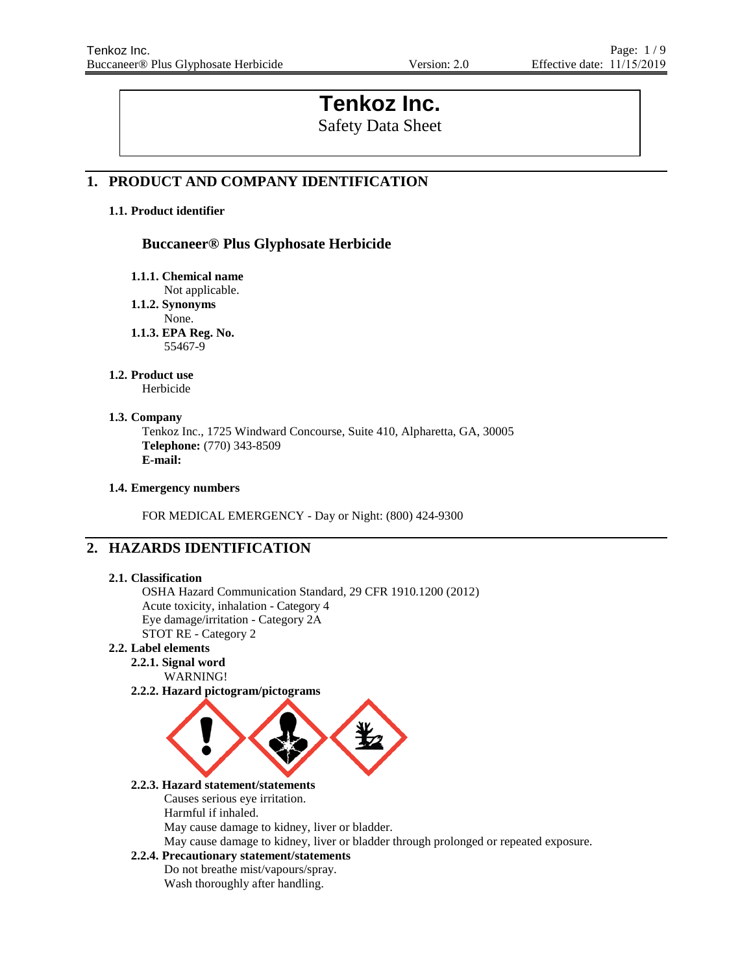# **Tenkoz Inc.**

Safety Data Sheet

## **1. PRODUCT AND COMPANY IDENTIFICATION**

## **1.1. Product identifier**

## **Buccaneer® Plus Glyphosate Herbicide**

**1.1.1. Chemical name**

Not applicable.

**1.1.2. Synonyms**

None.

**1.1.3. EPA Reg. No.** 55467-9

## **1.2. Product use**

Herbicide

## **1.3. Company**

Tenkoz Inc., 1725 Windward Concourse, Suite 410, Alpharetta, GA, 30005 **Telephone:** (770) 343-8509 **E-mail:**

## **1.4. Emergency numbers**

FOR MEDICAL EMERGENCY - Day or Night: (800) 424-9300

## **2. HAZARDS IDENTIFICATION**

## **2.1. Classification**

OSHA Hazard Communication Standard, 29 CFR 1910.1200 (2012) Acute toxicity, inhalation - Category 4 Eye damage/irritation - Category 2A STOT RE - Category 2

## **2.2. Label elements**

- **2.2.1. Signal word** WARNING!
- **2.2.2. Hazard pictogram/pictograms**



## **2.2.3. Hazard statement/statements**

Causes serious eye irritation.

Harmful if inhaled.

May cause damage to kidney, liver or bladder.

May cause damage to kidney, liver or bladder through prolonged or repeated exposure.

## **2.2.4. Precautionary statement/statements**

Do not breathe mist/vapours/spray. Wash thoroughly after handling.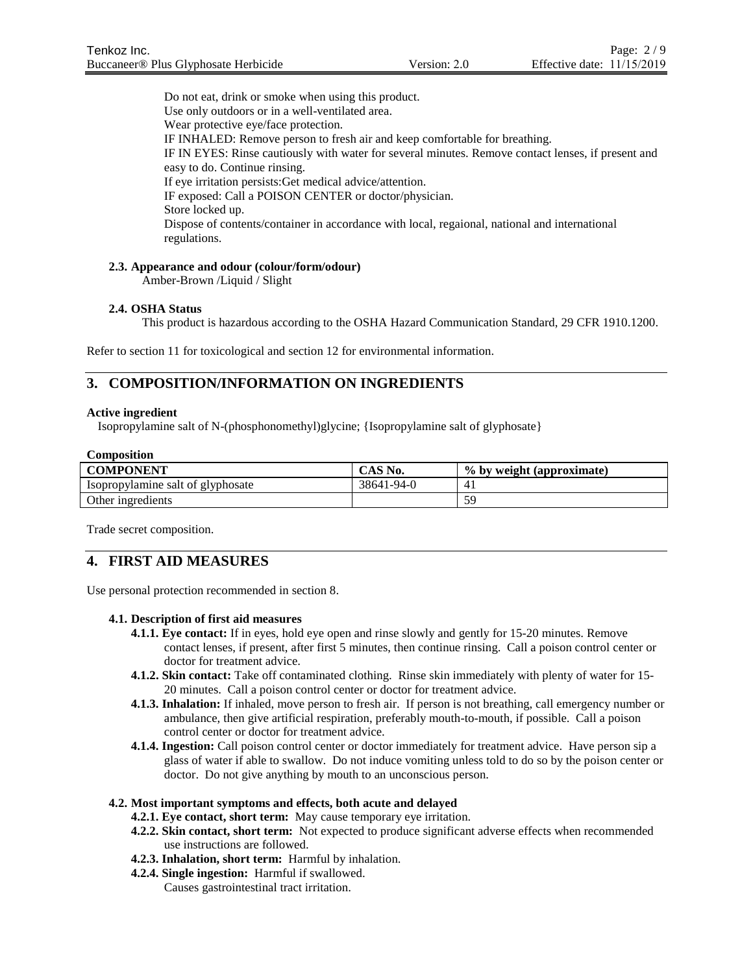Do not eat, drink or smoke when using this product. Use only outdoors or in a well-ventilated area. Wear protective eye/face protection. IF INHALED: Remove person to fresh air and keep comfortable for breathing. IF IN EYES: Rinse cautiously with water for several minutes. Remove contact lenses, if present and easy to do. Continue rinsing. If eye irritation persists:Get medical advice/attention. IF exposed: Call a POISON CENTER or doctor/physician. Store locked up. Dispose of contents/container in accordance with local, regaional, national and international regulations.

## **2.3. Appearance and odour (colour/form/odour)**

Amber-Brown /Liquid / Slight

## **2.4. OSHA Status**

This product is hazardous according to the OSHA Hazard Communication Standard, 29 CFR 1910.1200.

Refer to section 11 for toxicological and section 12 for environmental information.

## **3. COMPOSITION/INFORMATION ON INGREDIENTS**

## **Active ingredient**

Isopropylamine salt of N-(phosphonomethyl)glycine; {Isopropylamine salt of glyphosate}

| <b>Composition</b>                |            |                           |  |
|-----------------------------------|------------|---------------------------|--|
| <b>COMPONENT</b>                  | CAS No.    | % by weight (approximate) |  |
| Isopropylamine salt of glyphosate | 38641-94-0 | 41                        |  |
| Other ingredients                 |            | 59                        |  |

Trade secret composition.

## **4. FIRST AID MEASURES**

Use personal protection recommended in section 8.

## **4.1. Description of first aid measures**

- **4.1.1. Eye contact:** If in eyes, hold eye open and rinse slowly and gently for 15-20 minutes. Remove contact lenses, if present, after first 5 minutes, then continue rinsing. Call a poison control center or doctor for treatment advice.
- **4.1.2. Skin contact:** Take off contaminated clothing. Rinse skin immediately with plenty of water for 15- 20 minutes. Call a poison control center or doctor for treatment advice.
- **4.1.3. Inhalation:** If inhaled, move person to fresh air. If person is not breathing, call emergency number or ambulance, then give artificial respiration, preferably mouth-to-mouth, if possible. Call a poison control center or doctor for treatment advice.
- **4.1.4. Ingestion:** Call poison control center or doctor immediately for treatment advice. Have person sip a glass of water if able to swallow. Do not induce vomiting unless told to do so by the poison center or doctor. Do not give anything by mouth to an unconscious person.

## **4.2. Most important symptoms and effects, both acute and delayed**

- **4.2.1. Eye contact, short term:** May cause temporary eye irritation.
- **4.2.2. Skin contact, short term:** Not expected to produce significant adverse effects when recommended use instructions are followed.
- **4.2.3. Inhalation, short term:** Harmful by inhalation.
- **4.2.4. Single ingestion:** Harmful if swallowed. Causes gastrointestinal tract irritation.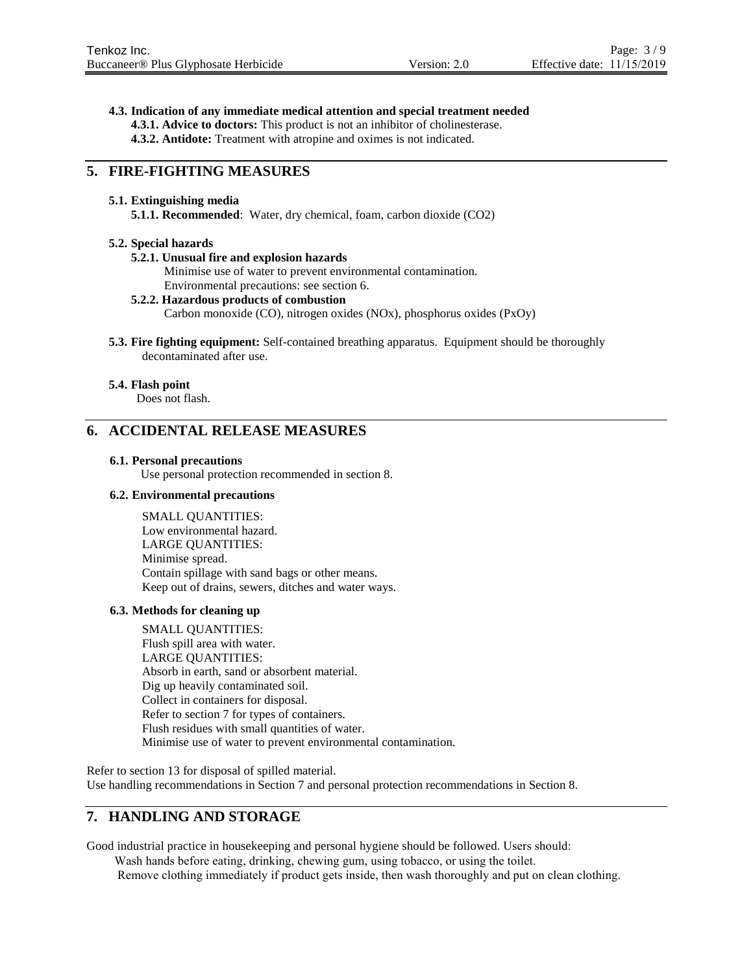**4.3. Indication of any immediate medical attention and special treatment needed**

**4.3.1. Advice to doctors:** This product is not an inhibitor of cholinesterase.

**4.3.2. Antidote:** Treatment with atropine and oximes is not indicated.

## **5. FIRE-FIGHTING MEASURES**

## **5.1. Extinguishing media**

**5.1.1. Recommended**: Water, dry chemical, foam, carbon dioxide (CO2)

## **5.2. Special hazards**

## **5.2.1. Unusual fire and explosion hazards**

Minimise use of water to prevent environmental contamination. Environmental precautions: see section 6.

## **5.2.2. Hazardous products of combustion**

Carbon monoxide (CO), nitrogen oxides (NOx), phosphorus oxides (PxOy)

**5.3. Fire fighting equipment:** Self-contained breathing apparatus. Equipment should be thoroughly decontaminated after use.

## **5.4. Flash point**

Does not flash.

## **6. ACCIDENTAL RELEASE MEASURES**

#### **6.1. Personal precautions**

Use personal protection recommended in section 8.

## **6.2. Environmental precautions**

SMALL QUANTITIES: Low environmental hazard. LARGE QUANTITIES: Minimise spread. Contain spillage with sand bags or other means. Keep out of drains, sewers, ditches and water ways.

## **6.3. Methods for cleaning up**

SMALL QUANTITIES: Flush spill area with water. LARGE QUANTITIES: Absorb in earth, sand or absorbent material. Dig up heavily contaminated soil. Collect in containers for disposal. Refer to section 7 for types of containers. Flush residues with small quantities of water. Minimise use of water to prevent environmental contamination.

Refer to section 13 for disposal of spilled material. Use handling recommendations in Section 7 and personal protection recommendations in Section 8.

## **7. HANDLING AND STORAGE**

Good industrial practice in housekeeping and personal hygiene should be followed. Users should:

Wash hands before eating, drinking, chewing gum, using tobacco, or using the toilet.

Remove clothing immediately if product gets inside, then wash thoroughly and put on clean clothing.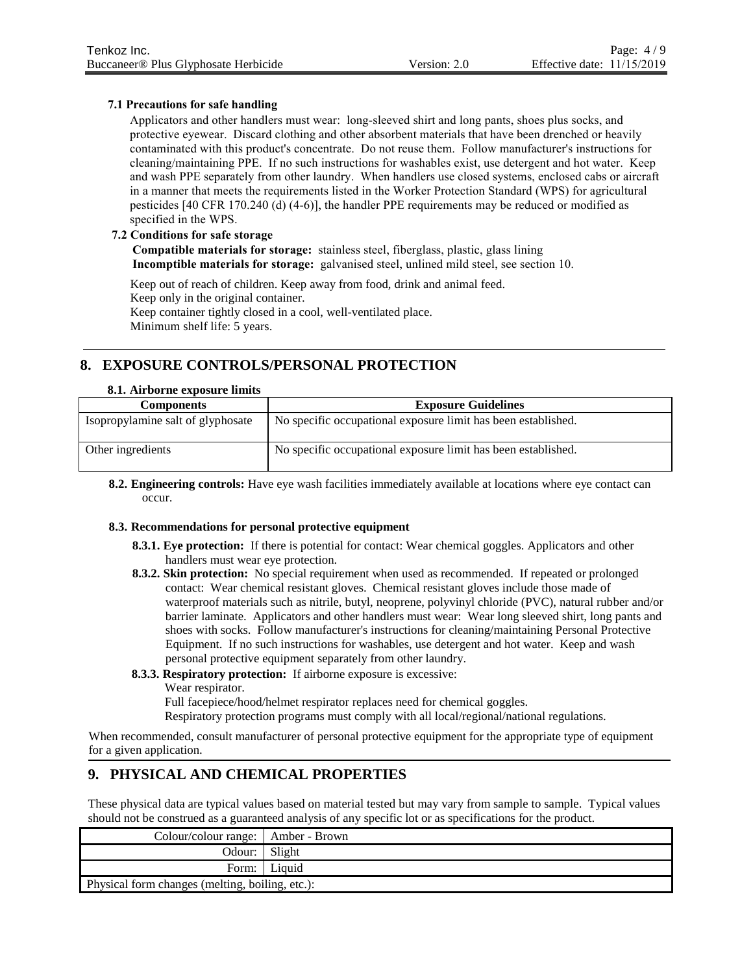## **7.1 Precautions for safe handling**

Applicators and other handlers must wear: long-sleeved shirt and long pants, shoes plus socks, and protective eyewear. Discard clothing and other absorbent materials that have been drenched or heavily contaminated with this product's concentrate. Do not reuse them. Follow manufacturer's instructions for cleaning/maintaining PPE. If no such instructions for washables exist, use detergent and hot water. Keep and wash PPE separately from other laundry. When handlers use closed systems, enclosed cabs or aircraft in a manner that meets the requirements listed in the Worker Protection Standard (WPS) for agricultural pesticides [40 CFR 170.240 (d) (4-6)], the handler PPE requirements may be reduced or modified as specified in the WPS.

## **7.2 Conditions for safe storage**

**Compatible materials for storage:** stainless steel, fiberglass, plastic, glass lining **Incomptible materials for storage:** galvanised steel, unlined mild steel, see section 10.

Keep out of reach of children. Keep away from food, drink and animal feed. Keep only in the original container. Keep container tightly closed in a cool, well-ventilated place. Minimum shelf life: 5 years.

## **8. EXPOSURE CONTROLS/PERSONAL PROTECTION**

## **8.1. Airborne exposure limits**

| <b>Components</b>                 | <b>Exposure Guidelines</b>                                    |
|-----------------------------------|---------------------------------------------------------------|
| Isopropylamine salt of glyphosate | No specific occupational exposure limit has been established. |
| Other ingredients                 | No specific occupational exposure limit has been established. |

**8.2. Engineering controls:** Have eye wash facilities immediately available at locations where eye contact can occur.

## **8.3. Recommendations for personal protective equipment**

- **8.3.1. Eye protection:** If there is potential for contact: Wear chemical goggles. Applicators and other handlers must wear eye protection.
- **8.3.2. Skin protection:** No special requirement when used as recommended. If repeated or prolonged contact: Wear chemical resistant gloves. Chemical resistant gloves include those made of waterproof materials such as nitrile, butyl, neoprene, polyvinyl chloride (PVC), natural rubber and/or barrier laminate. Applicators and other handlers must wear: Wear long sleeved shirt, long pants and shoes with socks. Follow manufacturer's instructions for cleaning/maintaining Personal Protective Equipment. If no such instructions for washables, use detergent and hot water. Keep and wash personal protective equipment separately from other laundry.
- **8.3.3. Respiratory protection:** If airborne exposure is excessive:

Wear respirator.

Full facepiece/hood/helmet respirator replaces need for chemical goggles.

Respiratory protection programs must comply with all local/regional/national regulations.

When recommended, consult manufacturer of personal protective equipment for the appropriate type of equipment for a given application.

## **9. PHYSICAL AND CHEMICAL PROPERTIES**

These physical data are typical values based on material tested but may vary from sample to sample. Typical values should not be construed as a guaranteed analysis of any specific lot or as specifications for the product.

| Colour/colour range:   Amber - Brown            |              |  |
|-------------------------------------------------|--------------|--|
| Odour:   Slight                                 |              |  |
|                                                 | Form: Liquid |  |
| Physical form changes (melting, boiling, etc.): |              |  |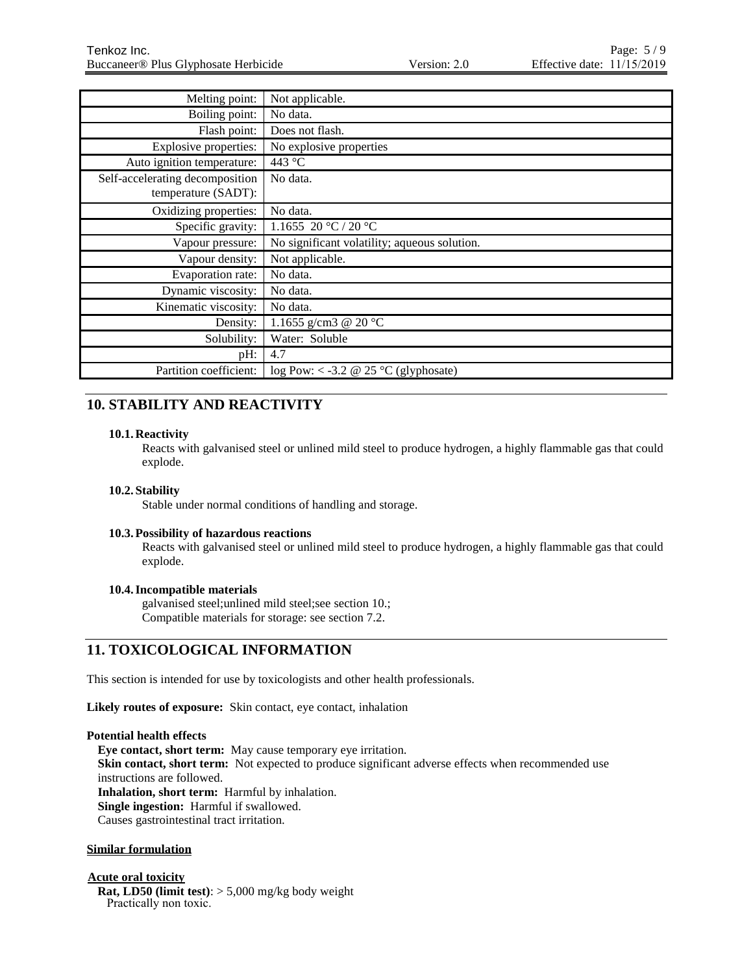| Melting point:                  | Not applicable.                              |
|---------------------------------|----------------------------------------------|
| Boiling point:                  | No data.                                     |
| Flash point:                    | Does not flash.                              |
| Explosive properties:           | No explosive properties                      |
| Auto ignition temperature:      | 443 °C                                       |
| Self-accelerating decomposition | No data.                                     |
| temperature (SADT):             |                                              |
| Oxidizing properties:           | No data.                                     |
| Specific gravity:               | 1.1655 20 °C / 20 °C                         |
| Vapour pressure:                | No significant volatility; aqueous solution. |
| Vapour density:                 | Not applicable.                              |
| Evaporation rate:               | No data.                                     |
| Dynamic viscosity:              | No data.                                     |
| Kinematic viscosity:            | No data.                                     |
| Density:                        | 1.1655 g/cm3 @ 20 °C                         |
| Solubility:                     | Water: Soluble                               |
| pH:                             | 4.7                                          |
| Partition coefficient:          | log Pow: < -3.2 @ 25 °C (glyphosate)         |

## **10. STABILITY AND REACTIVITY**

## **10.1. Reactivity**

Reacts with galvanised steel or unlined mild steel to produce hydrogen, a highly flammable gas that could explode.

## **10.2. Stability**

Stable under normal conditions of handling and storage.

## **10.3.Possibility of hazardous reactions**

Reacts with galvanised steel or unlined mild steel to produce hydrogen, a highly flammable gas that could explode.

## **10.4.Incompatible materials**

galvanised steel;unlined mild steel;see section 10.; Compatible materials for storage: see section 7.2.

## **11. TOXICOLOGICAL INFORMATION**

This section is intended for use by toxicologists and other health professionals.

**Likely routes of exposure:** Skin contact, eye contact, inhalation

## **Potential health effects**

**Eye contact, short term:** May cause temporary eye irritation. **Skin contact, short term:** Not expected to produce significant adverse effects when recommended use instructions are followed. **Inhalation, short term:** Harmful by inhalation.

**Single ingestion:** Harmful if swallowed.

Causes gastrointestinal tract irritation.

## **Similar formulation**

## **Acute oral toxicity**

**Rat, LD50 (limit test)**: > 5,000 mg/kg body weight Practically non toxic.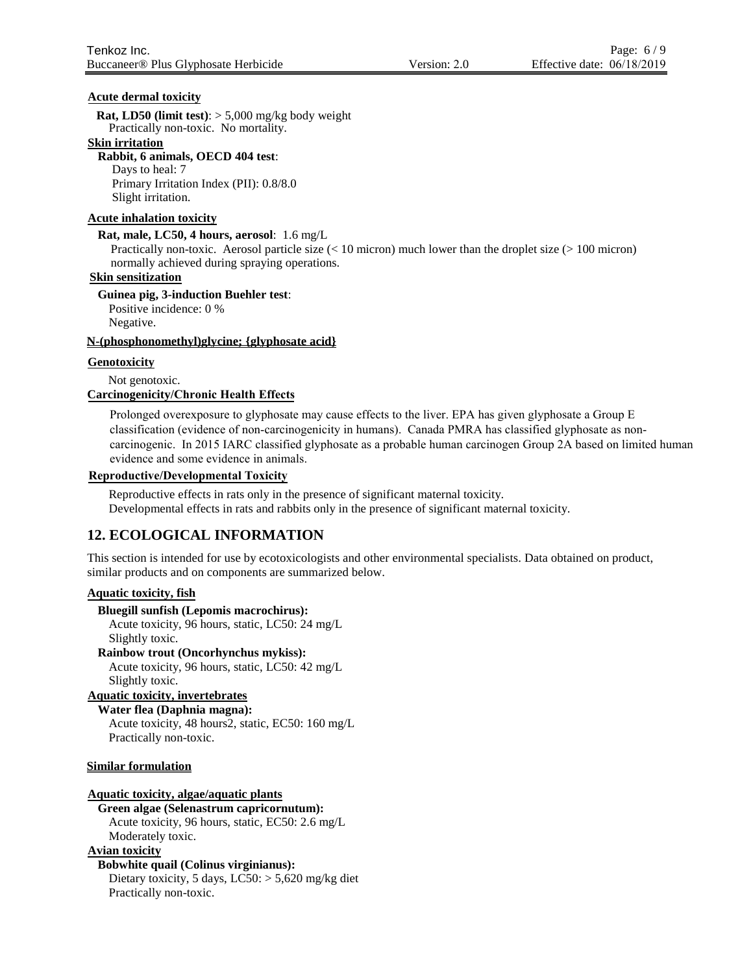## **Acute dermal toxicity**

**Rat, LD50 (limit test)**: > 5,000 mg/kg body weight Practically non-toxic. No mortality.

## **Skin irritation**

**Rabbit, 6 animals, OECD 404 test**: Days to heal: 7 Primary Irritation Index (PII): 0.8/8.0 Slight irritation.

## **Acute inhalation toxicity**

**Rat, male, LC50, 4 hours, aerosol**: 1.6 mg/L

Practically non-toxic. Aerosol particle size (< 10 micron) much lower than the droplet size (> 100 micron) normally achieved during spraying operations.

## **Skin sensitization**

**Guinea pig, 3-induction Buehler test**:

Positive incidence: 0 %

Negative.

## **N-(phosphonomethyl)glycine; {glyphosate acid}**

**Genotoxicity**

Not genotoxic.

**Carcinogenicity/Chronic Health Effects**

Prolonged overexposure to glyphosate may cause effects to the liver. EPA has given glyphosate a Group E classification (evidence of non-carcinogenicity in humans). Canada PMRA has classified glyphosate as noncarcinogenic. In 2015 IARC classified glyphosate as a probable human carcinogen Group 2A based on limited human evidence and some evidence in animals.

## **Reproductive/Developmental Toxicity**

Reproductive effects in rats only in the presence of significant maternal toxicity. Developmental effects in rats and rabbits only in the presence of significant maternal toxicity.

## **12. ECOLOGICAL INFORMATION**

This section is intended for use by ecotoxicologists and other environmental specialists. Data obtained on product, similar products and on components are summarized below.

## **Aquatic toxicity, fish**

**Bluegill sunfish (Lepomis macrochirus):**

Acute toxicity, 96 hours, static, LC50: 24 mg/L Slightly toxic.

**Rainbow trout (Oncorhynchus mykiss):** Acute toxicity, 96 hours, static, LC50: 42 mg/L Slightly toxic.

## **Aquatic toxicity, invertebrates**

**Water flea (Daphnia magna):** Acute toxicity, 48 hours2, static, EC50: 160 mg/L

Practically non-toxic.

## **Similar formulation**

## **Aquatic toxicity, algae/aquatic plants**

**Green algae (Selenastrum capricornutum):** Acute toxicity, 96 hours, static, EC50: 2.6 mg/L Moderately toxic.

## **Avian toxicity**

## **Bobwhite quail (Colinus virginianus):**

Dietary toxicity, 5 days, LC50: > 5,620 mg/kg diet Practically non-toxic.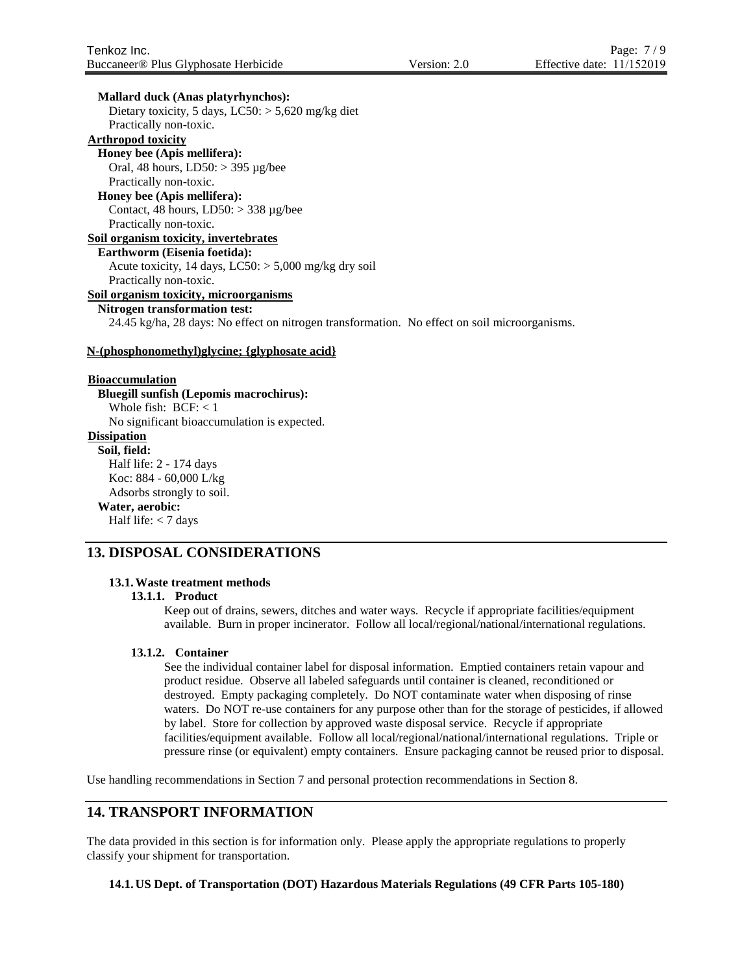#### **Mallard duck (Anas platyrhynchos):**

Dietary toxicity, 5 days,  $LC50$ :  $> 5,620$  mg/kg diet Practically non-toxic.

## **Arthropod toxicity**

**Honey bee (Apis mellifera):** Oral, 48 hours, LD50: > 395 µg/bee Practically non-toxic.

## **Honey bee (Apis mellifera):**

Contact, 48 hours,  $LD50$ :  $>$  338 µg/bee Practically non-toxic.

#### **Soil organism toxicity, invertebrates**

#### **Earthworm (Eisenia foetida):**

Acute toxicity, 14 days,  $LC50$ :  $> 5,000$  mg/kg dry soil Practically non-toxic.

## **Soil organism toxicity, microorganisms**

## **Nitrogen transformation test:**

24.45 kg/ha, 28 days: No effect on nitrogen transformation. No effect on soil microorganisms.

#### **N-(phosphonomethyl)glycine; {glyphosate acid}**

## **Bioaccumulation**

**Bluegill sunfish (Lepomis macrochirus):** Whole fish:  $BCF: < 1$ No significant bioaccumulation is expected. **Dissipation Soil, field:** Half life: 2 - 174 days Koc: 884 - 60,000 L/kg Adsorbs strongly to soil. **Water, aerobic:** Half life: < 7 days

## **13. DISPOSAL CONSIDERATIONS**

## **13.1.Waste treatment methods**

#### **13.1.1. Product**

Keep out of drains, sewers, ditches and water ways. Recycle if appropriate facilities/equipment available. Burn in proper incinerator. Follow all local/regional/national/international regulations.

#### **13.1.2. Container**

See the individual container label for disposal information. Emptied containers retain vapour and product residue. Observe all labeled safeguards until container is cleaned, reconditioned or destroyed. Empty packaging completely. Do NOT contaminate water when disposing of rinse waters. Do NOT re-use containers for any purpose other than for the storage of pesticides, if allowed by label. Store for collection by approved waste disposal service. Recycle if appropriate facilities/equipment available. Follow all local/regional/national/international regulations. Triple or pressure rinse (or equivalent) empty containers. Ensure packaging cannot be reused prior to disposal.

Use handling recommendations in Section 7 and personal protection recommendations in Section 8.

## **14. TRANSPORT INFORMATION**

The data provided in this section is for information only. Please apply the appropriate regulations to properly classify your shipment for transportation.

#### **14.1. US Dept. of Transportation (DOT) Hazardous Materials Regulations (49 CFR Parts 105-180)**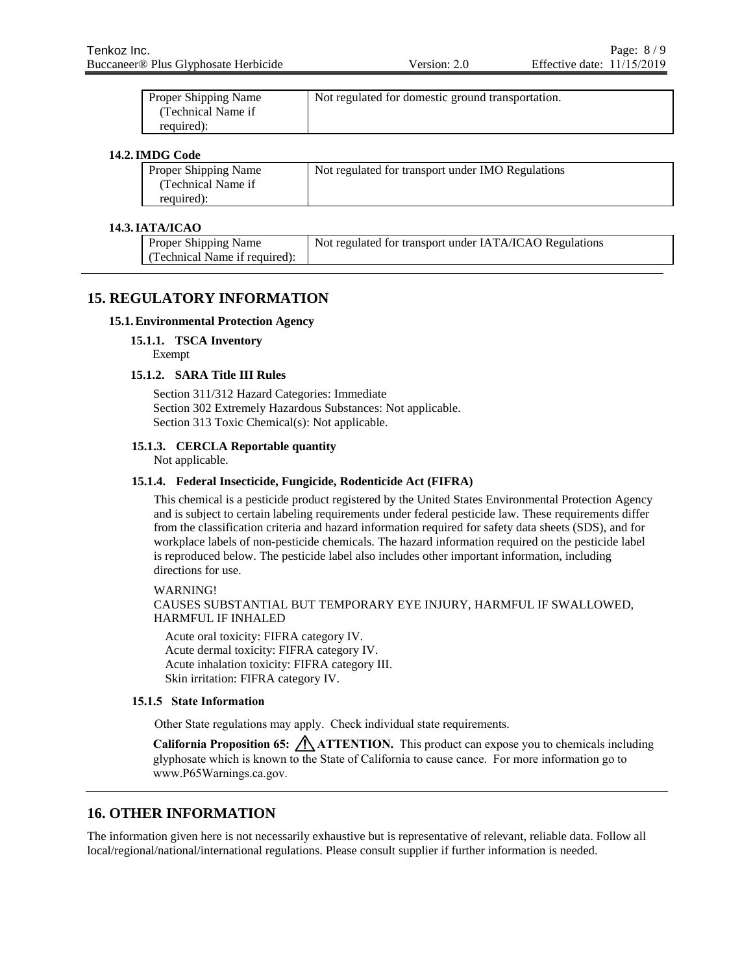| Proper Shipping Name | Not regulated for domestic ground transportation. |
|----------------------|---------------------------------------------------|
| (Technical Name if   |                                                   |
| required):           |                                                   |

## **14.2.IMDG Code**

| Proper Shipping Name | Not regulated for transport under IMO Regulations |
|----------------------|---------------------------------------------------|
| Technical Name if    |                                                   |
| required):           |                                                   |

## **14.3.IATA/ICAO**

| <b>Proper Shipping Name</b>   | Not regulated for transport under IATA/ICAO Regulations |
|-------------------------------|---------------------------------------------------------|
| (Technical Name if required): |                                                         |

## **15. REGULATORY INFORMATION**

## **15.1.Environmental Protection Agency**

**15.1.1. TSCA Inventory**

Exempt

#### **15.1.2. SARA Title III Rules**

Section 311/312 Hazard Categories: Immediate Section 302 Extremely Hazardous Substances: Not applicable. Section 313 Toxic Chemical(s): Not applicable.

## **15.1.3. CERCLA Reportable quantity**

Not applicable.

#### **15.1.4. Federal Insecticide, Fungicide, Rodenticide Act (FIFRA)**

This chemical is a pesticide product registered by the United States Environmental Protection Agency and is subject to certain labeling requirements under federal pesticide law. These requirements differ from the classification criteria and hazard information required for safety data sheets (SDS), and for workplace labels of non-pesticide chemicals. The hazard information required on the pesticide label is reproduced below. The pesticide label also includes other important information, including directions for use.

WARNING!

CAUSES SUBSTANTIAL BUT TEMPORARY EYE INJURY, HARMFUL IF SWALLOWED, HARMFUL IF INHALED

Acute oral toxicity: FIFRA category IV. Acute dermal toxicity: FIFRA category IV. Acute inhalation toxicity: FIFRA category III. Skin irritation: FIFRA category IV.

## **15.1.5 State Information**

Other State regulations may apply. Check individual state requirements.

**California Proposition 65: A ATTENTION.** This product can expose you to chemicals including glyphosate which is known to the State of California to cause cance. For more information go to www.P65Warnings.ca.gov.

## **16. OTHER INFORMATION**

The information given here is not necessarily exhaustive but is representative of relevant, reliable data. Follow all local/regional/national/international regulations. Please consult supplier if further information is needed.